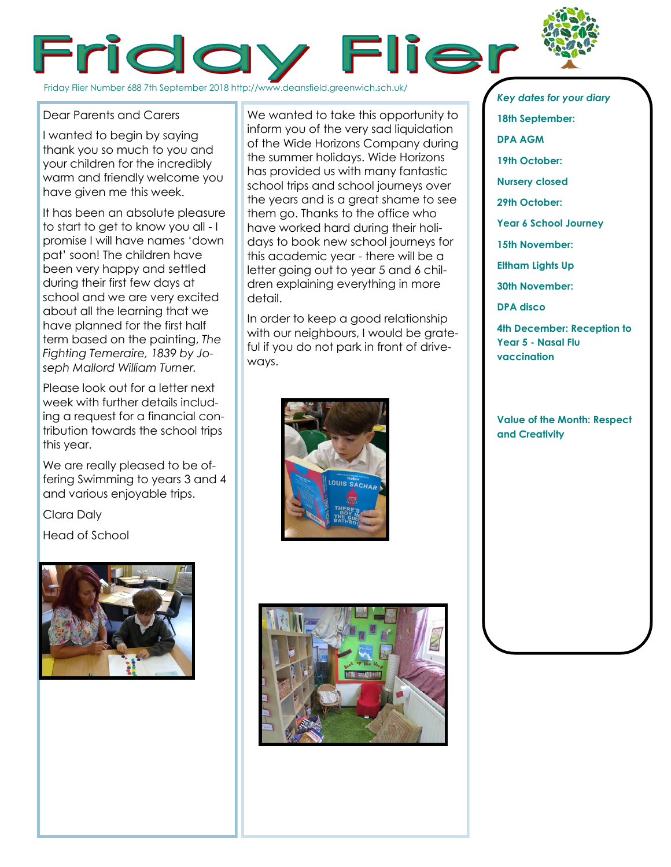



I wanted to begin by saying thank you so much to you and your children for the incredibly warm and friendly welcome you have given me this week.

It has been an absolute pleasure to start to get to know you all - I promise I will have names 'down pat' soon! The children have been very happy and settled during their first few days at school and we are very excited about all the learning that we have planned for the first half term based on the painting, *The Fighting Temeraire, 1839 by Joseph Mallord William Turner.* 

Please look out for a letter next week with further details including a request for a financial contribution towards the school trips this year.

We are really pleased to be offering Swimming to years 3 and 4 and various enjoyable trips.

Clara Daly

Head of School



We wanted to take this opportunity to inform you of the very sad liquidation of the Wide Horizons Company during the summer holidays. Wide Horizons has provided us with many fantastic school trips and school journeys over the years and is a great shame to see them go. Thanks to the office who have worked hard during their holidays to book new school journeys for this academic year - there will be a letter going out to year 5 and 6 children explaining everything in more detail.

In order to keep a good relationship with our neighbours, I would be grateful if you do not park in front of driveways.





*Key dates for your diary* **18th September: DPA AGM 19th October: Nursery closed 29th October: Year 6 School Journey 15th November: Eltham Lights Up 30th November: DPA disco 4th December: Reception to Year 5 - Nasal Flu vaccination**

**Value of the Month: Respect and Creativity**